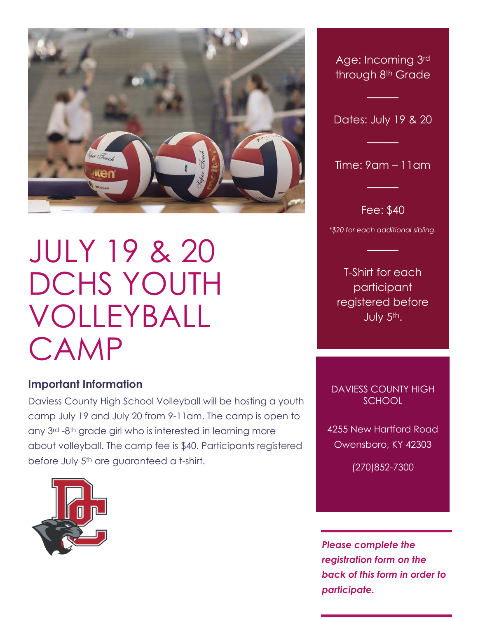

## JULY 19 & 20 DCHS YOUTH VOLLEYBALL CAMP

## **Important Information**

Daviess County High School Volleyball will be hosting a youth camp July 19 and July 20 from 9-11am. The camp is open to any 3rd -8th grade girl who is interested in learning more about volleyball. The camp fee is \$40. Participants registered before July 5<sup>th</sup> are guaranteed a t-shirt.



Age: Incoming 3rd through 8th Grade

Dates: July 19 & 20

─────────────────<br>──────────────

Time: 9am – 11am

─────────────────<br>─────────────

Fee: \$40

─────────────────<br>─────────────

*\*\$20 for each additional sibling.*

─────────────────<br>─────────────

T-Shirt for each participant registered before July 5th.

DAVIESS COUNTY HIGH **SCHOOL** 

4255 New Hartford Road Owensboro, KY 42303

(270)852-7300

*Please complete the registration form on the back of this form in order to participate.*